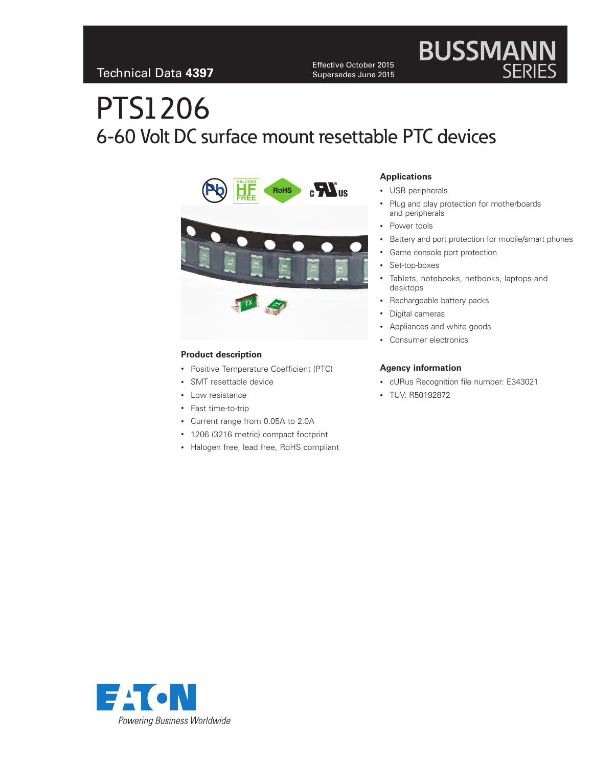Effective October 2015 Supersedes June 2015

# **BUSSMANN**<br>SERIES

# PTS1206 6-60 Volt DC surface mount resettable PTC devices



#### **Product description**

- Positive Temperature Coefficient (PTC)
- SMT resettable device
- Low resistance
- Fast time-to-trip
- Current range from 0.05A to 2.0A
- 1206 (3216 metric) compact footprint
- Halogen free, lead free, RoHS compliant

#### **Applications**

- USB peripherals
- Plug and play protection for motherboards and peripherals
- Power tools
- Battery and port protection for mobile/smart phones
- Game console port protection
- Set-top-boxes
- Tablets, notebooks, netbooks, laptops and desktops
- Rechargeable battery packs
- Digital cameras
- Appliances and white goods
- Consumer electronics

#### **Agency information**

- cURus Recognition file number: E343021
- TUV: R50192872

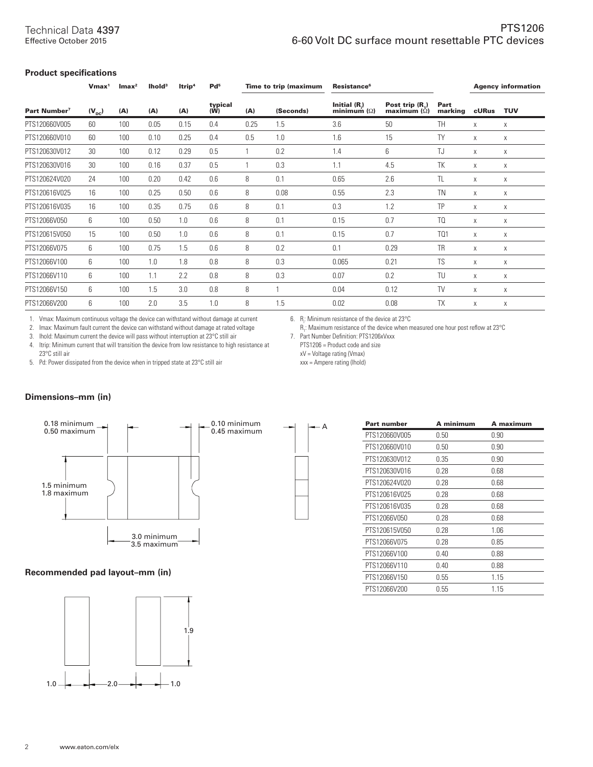#### **Product specifications**

|                          | $V$ max <sup>1</sup> | $Imax^2$ | lhold <sup>3</sup> | ltrip <sup>4</sup> | Pd <sup>5</sup> |      | Time to trip (maximum | <b>Resistance<sup>6</sup></b>         |                                      |                 |       | <b>Agency information</b> |
|--------------------------|----------------------|----------|--------------------|--------------------|-----------------|------|-----------------------|---------------------------------------|--------------------------------------|-----------------|-------|---------------------------|
| Part Number <sup>7</sup> | $(V_{\rm nc})$       | (A)      | (A)                | (A)                | typical<br>(W)  | (A)  | (Seconds)             | Initial $(R_i)$<br>minimum $(\Omega)$ | Post trip (R.)<br>maximum $(\Omega)$ | Part<br>marking | cURus | <b>TUV</b>                |
| PTS120660V005            | 60                   | 100      | 0.05               | 0.15               | 0.4             | 0.25 | 1.5                   | 3.6                                   | 50                                   | <b>TH</b>       | X     | X                         |
| PTS120660V010            | 60                   | 100      | 0.10               | 0.25               | 0.4             | 0.5  | 1.0                   | 1.6                                   | 15                                   | TY              | X     | Χ                         |
| PTS120630V012            | 30                   | 100      | 0.12               | 0.29               | 0.5             |      | 0.2                   | 1.4                                   | 6                                    | TJ              | X     | X                         |
| PTS120630V016            | 30                   | 100      | 0.16               | 0.37               | 0.5             |      | 0.3                   | 1.1                                   | 4.5                                  | TK              | X     | Χ                         |
| PTS120624V020            | 24                   | 100      | 0.20               | 0.42               | 0.6             | 8    | 0.1                   | 0.65                                  | 2.6                                  | <b>TL</b>       | X     | X                         |
| PTS120616V025            | 16                   | 100      | 0.25               | 0.50               | 0.6             | 8    | 0.08                  | 0.55                                  | 2.3                                  | <b>TN</b>       | X     | X                         |
| PTS120616V035            | 16                   | 100      | 0.35               | 0.75               | 0.6             | 8    | 0.1                   | 0.3                                   | 1.2                                  | TP              | X     | X                         |
| PTS12066V050             | 6                    | 100      | 0.50               | 1.0                | 0.6             | 8    | 0.1                   | 0.15                                  | 0.7                                  | TQ              | X     | Χ                         |
| PTS120615V050            | 15                   | 100      | 0.50               | 1.0                | 0.6             | 8    | 0.1                   | 0.15                                  | 0.7                                  | TQ1             | X     | X                         |
| PTS12066V075             | 6                    | 100      | 0.75               | 1.5                | 0.6             | 8    | 0.2                   | 0.1                                   | 0.29                                 | <b>TR</b>       | Χ     | X                         |
| PTS12066V100             | 6                    | 100      | 1.0                | 1.8                | 0.8             | 8    | 0.3                   | 0.065                                 | 0.21                                 | <b>TS</b>       | X     | X                         |
| PTS12066V110             | 6                    | 100      | 1.1                | 2.2                | 0.8             | 8    | 0.3                   | 0.07                                  | 0.2                                  | TU              | Χ     | Χ                         |
| PTS12066V150             | 6                    | 100      | 1.5                | 3.0                | 0.8             | 8    |                       | 0.04                                  | 0.12                                 | <b>TV</b>       | X     | X                         |
| PTS12066V200             | 6                    | 100      | 2.0                | 3.5                | 1.0             | 8    | 1.5                   | 0.02                                  | 0.08                                 | <b>TX</b>       | X     | X                         |

1. Vmax: Maximum continuous voltage the device can withstand without damage at current

2. Imax: Maximum fault current the device can withstand without damage at rated voltage

3. Ihold: Maximum current the device will pass without interruption at  $23^{\circ}$ C still air 4. Itrip: Minimum current that will transition the device from low resistance to high r Itrip: Minimum current that will transition the device from low resistance to high resistance at 23°C still air

5. Pd: Power dissipated from the device when in tripped state at 23°C still air

6. R<sub>i</sub>: Minimum resistance of the device at 23°C

R<sub>1</sub>: Maximum resistance of the device when measured one hour post reflow at 23°C 7. Part Number Definition: PTS1206xVxxx

PTS1206 = Product code and size

xV = Voltage rating (Vmax)

xxx = Ampere rating (Ihold)

#### **Dimensions–mm (in)**



#### **Recommended pad layout–mm (in)**



| Part number   | A minimum | A maximum |
|---------------|-----------|-----------|
| PTS120660V005 | 0.50      | 0.90      |
| PTS120660V010 | 0.50      | 0.90      |
| PTS120630V012 | 0.35      | 0.90      |
| PTS120630V016 | 0.28      | 0.68      |
| PTS120624V020 | 0.28      | 0.68      |
| PTS120616V025 | 0.28      | 0.68      |
| PTS120616V035 | 0.28      | 0.68      |
| PTS12066V050  | 0.28      | 0.68      |
| PTS120615V050 | 0.28      | 1.06      |
| PTS12066V075  | 0.28      | 0.85      |
| PTS12066V100  | 0.40      | 0.88      |
| PTS12066V110  | 0.40      | 0.88      |
| PTS12066V150  | 0.55      | 1.15      |
| PTS12066V200  | 0.55      | 1.15      |
|               |           |           |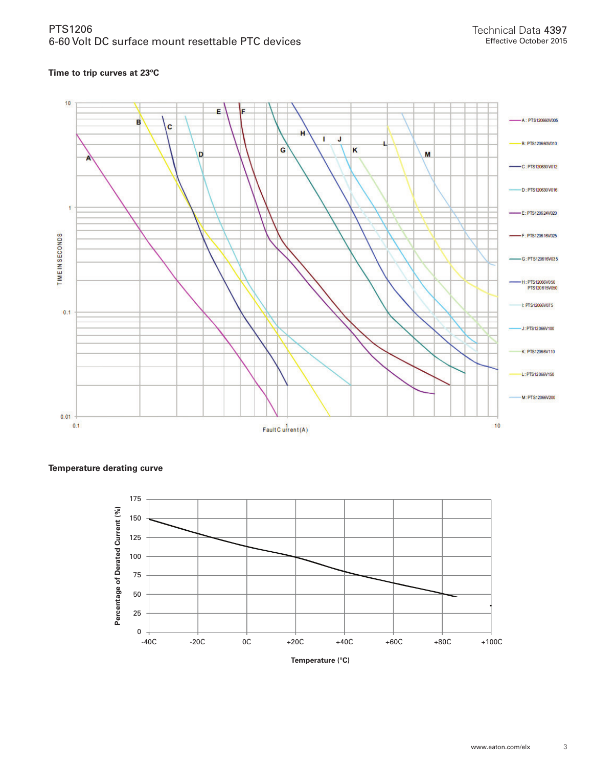#### **Time to trip curves at 23ºC**



**Temperature derating curve**



**Temperature (°C)**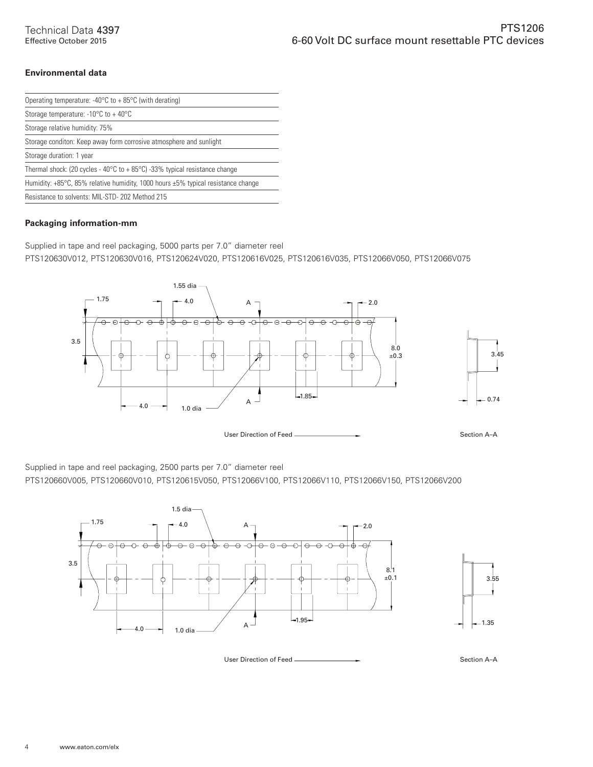#### **Environmental data**

| Operating temperature: -40 $\degree$ C to + 85 $\degree$ C (with derating)                       |
|--------------------------------------------------------------------------------------------------|
| Storage temperature: -10 $\degree$ C to + 40 $\degree$ C                                         |
| Storage relative humidity: 75%                                                                   |
| Storage conditon: Keep away form corrosive atmosphere and sunlight                               |
| Storage duration: 1 year                                                                         |
| Thermal shock: (20 cycles - 40 $\degree$ C to + 85 $\degree$ C) -33% typical resistance change   |
| Humidity: $+85^{\circ}$ C, 85% relative humidity, 1000 hours $\pm 5\%$ typical resistance change |
| Resistance to solvents: MIL-STD- 202 Method 215                                                  |
|                                                                                                  |

#### **Packaging information-mm**

Supplied in tape and reel packaging, 5000 parts per 7.0" diameter reel

PTS120630V012, PTS120630V016, PTS120624V020, PTS120616V025, PTS120616V035, PTS12066V050, PTS12066V075



User Direction of Feed  $\longrightarrow$ 

Supplied in tape and reel packaging, 2500 parts per 7.0" diameter reel

PTS120660V005, PTS120660V010, PTS120615V050, PTS12066V100, PTS12066V110, PTS12066V150, PTS12066V200



User Direction of Feed <u>Section A–A</u>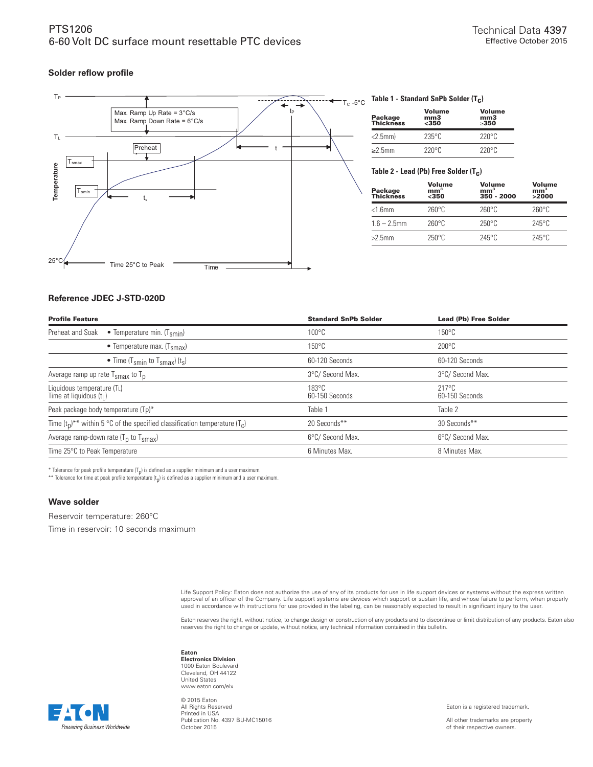#### **Solder reflow profile**



#### TC -5°C **Table 1 - Standard SnPb Solder (Tc)**

| Package<br>Thickness | <b>Volume</b><br>mm3<br>$350$ | Volume<br>mm <sub>3</sub><br>>350 |  |  |
|----------------------|-------------------------------|-----------------------------------|--|--|
| $<$ 2.5mm $)$        | $235^\circ$ C                 | $220^{\circ}$ C                   |  |  |
| $\geq$ 2.5mm         | $220^{\circ}$ C               | $220^{\circ}$ C                   |  |  |

#### Table 2 - Lead (Pb) Free Solder (T<sub>C</sub>)

| Package<br>Thickness | Volume<br>mm <sup>3</sup><br>$350$ | Volume<br>mm <sup>3</sup><br>350 - 2000 | Volume<br>mm <sup>3</sup><br>>2000 |
|----------------------|------------------------------------|-----------------------------------------|------------------------------------|
| $<$ 1.6 $mm$         | $260^\circ C$                      | 260°C                                   | $260^\circ C$                      |
| $1.6 - 2.5$ mm       | $260^\circ C$                      | $250^{\circ}$ C                         | $245^\circ C$                      |
| $>2.5$ mm            | $250^{\circ}$ C                    | $245^\circ$ C                           | $245^\circ C$                      |

#### **Reference JDEC J-STD-020D**

| <b>Profile Feature</b>                                                            | <b>Standard SnPb Solder</b>       | <b>Lead (Pb) Free Solder</b>      |
|-----------------------------------------------------------------------------------|-----------------------------------|-----------------------------------|
| Preheat and Soak<br>• Temperature min. $(T_{smin})$                               | $100^{\circ}$ C                   | $150^{\circ}$ C                   |
| • Temperature max. $(T_{\text{smax}})$                                            | $150^{\circ}$ C                   | $200^{\circ}$ C                   |
| • Time (T <sub>smin</sub> to T <sub>smax</sub> ) (t <sub>s</sub> )                | 60-120 Seconds                    | 60-120 Seconds                    |
| Average ramp up rate $T_{\text{smax}}$ to $T_{\text{p}}$                          | 3°C/ Second Max.                  | 3°C/ Second Max.                  |
| Liquidous temperature (TL)<br>Time at liquidous (t <sub>l</sub> )                 | $183^{\circ}$ C<br>60-150 Seconds | $217^{\circ}$ C<br>60-150 Seconds |
| Peak package body temperature (Tp)*                                               | Table 1                           | Table 2                           |
| Time $(t_0)^{**}$ within 5 °C of the specified classification temperature $(T_c)$ | 20 Seconds**                      | 30 Seconds**                      |
| Average ramp-down rate $(T_p$ to $T_{\text{smax}}$ )                              | 6°C/ Second Max.                  | 6°C/ Second Max.                  |
| Time 25°C to Peak Temperature                                                     | 6 Minutes Max.                    | 8 Minutes Max.                    |
|                                                                                   |                                   |                                   |

\* Tolerance for peak profile temperature  $(T_p)$  is defined as a supplier minimum and a user maximum.

\*\* Tolerance for time at peak profile temperature  $(t_p)$  is defined as a supplier minimum and a user maximum.

#### **Wave solder**

Reservoir temperature: 260°C

Time in reservoir: 10 seconds maximum

Life Support Policy: Eaton does not authorize the use of any of its products for use in life support devices or systems without the express written approval of an officer of the Company. Life support systems are devices which support or sustain life, and whose failure to perform, when properly<br>used in accordance with instructions for use provided in the labeling, can

Eaton reserves the right, without notice, to change design or construction of any products and to discontinue or limit distribution of any products. Eaton also<br>reserves the right to change or update, without notice, any te

#### **Eaton**

**Electronics Division** 1000 Eaton Boulevard Cleveland, OH 44122 United States www.eaton.com/elx

Powerina Business Worldwide

© 2015 Eaton All Rights Reserved Printed in USA Publication No. 4397 BU-MC15016 October 2015

Eaton is a registered trademark.

All other trademarks are property of their respective owners.